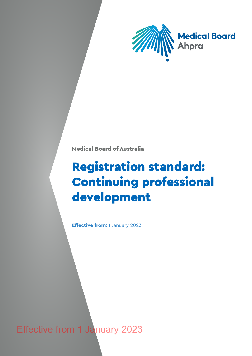

Medical Board of Australia

# Registration standard: Continuing professional development

Effective from: 1 January 2023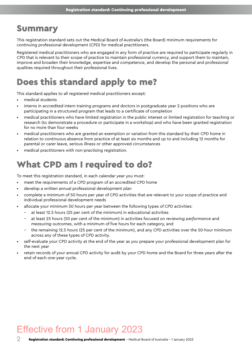### Summary

This registration standard sets out the Medical Board of Australia's (the Board) minimum requirements for continuing professional development (CPD) for medical practitioners.

Registered medical practitioners who are engaged in any form of practice are required to participate regularly in CPD that is relevant to their scope of practice to maintain professional currency, and support them to maintain, improve and broaden their knowledge, expertise and competence, and develop the personal and professional qualities required throughout their professional lives.

# Does this standard apply to me?

This standard applies to all registered medical practitioners except:

- medical students
- interns in accredited intern training programs and doctors in postgraduate year 2 positions who are participating in a structured program that leads to a certificate of completion
- medical practitioners who have limited registration in the public interest or limited registration for teaching or research (to demonstrate a procedure or participate in a workshop) and who have been granted registration for no more than four weeks
- medical practitioners who are granted an exemption or variation from this standard by their CPD home in relation to continuous absence from practice of at least six months and up to and including 12 months for parental or carer leave, serious illness or other approved circumstances
- medical practitioners with non-practising registration.

# What CPD am I required to do?

To meet this registration standard, in each calendar year you must:

- meet the requirements of a CPD program of an accredited CPD home
- develop a written annual professional development plan
- complete a minimum of 50 hours per year of CPD activities that are relevant to your scope of practice and individual professional development needs
- allocate your minimum 50 hours per year between the following types of CPD activities:
	- at least 12.5 hours (25 per cent of the minimum) in educational activities
	- at least 25 hours (50 per cent of the minimum) in activities focused on *reviewing performance* and *measuring outcomes*, with a minimum of five hours for each category, and
	- the remaining 12.5 hours (25 per cent of the minimum), and any CPD activities over the 50-hour minimum across any of these types of CPD activity.
- self-evaluate your CPD activity at the end of the year as you prepare your professional development plan for the next year
- retain records of your annual CPD activity for audit by your CPD home and the Board for three years after the end of each one-year cycle.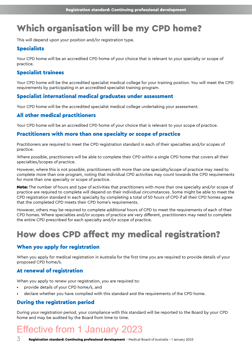# Which organisation will be my CPD home?

This will depend upon your position and/or registration type.

#### **Specialists**

Your CPD home will be an accredited CPD home of your choice that is relevant to your specialty or scope of practice.

#### Specialist trainees

Your CPD home will be the accredited specialist medical college for your training position. You will meet the CPD requirements by participating in an accredited specialist training program.

#### Specialist international medical graduates under assessment

Your CPD home will be the accredited specialist medical college undertaking your assessment.

#### All other medical practitioners

Your CPD home will be an accredited CPD home of your choice that is relevant to your scope of practice.

#### Practitioners with more than one specialty or scope of practice

Practitioners are required to meet the CPD registration standard in each of their specialties and/or scopes of practice.

Where possible, practitioners will be able to complete their CPD within a single CPD home that covers all their specialties/scopes of practice.

However, where this is not possible, practitioners with more than one specialty/scope of practice may need to complete more than one program, noting that individual CPD activities may count towards the CPD requirements for more than one specialty or scope of practice.

Note: The number of hours and type of activities that practitioners with more than one specialty and/or scope of practice are required to complete will depend on their individual circumstances. Some might be able to meet the CPD registration standard in each specialty by completing a total of 50 hours of CPD if all their CPD homes agree that the completed CPD meets their CPD home's requirements.

However, others may be required to complete additional hours of CPD to meet the requirements of each of their CPD homes. Where specialties and/or scopes of practice are very different, practitioners may need to complete the entire CPD prescribed for each specialty and/or scope of practice.

# How does CPD affect my medical registration?

#### When you apply for registration

When you apply for medical registration in Australia for the first time you are required to provide details of your proposed CPD home/s.

#### At renewal of registration

When you apply to renew your registration, you are required to:

- provide details of your CPD home/s, and
- declare whether you have complied with this standard and the requirements of the CPD home.

#### During the registration period

During your registration period, your compliance with this standard will be reported to the Board by your CPD home and may be audited by the Board from time to time.

# Effective from 1 January 2023

 $\overline{3}$  Registration standard: Continuing professional development - Medical Board of Australia - 1 January 2023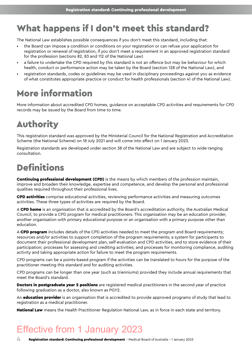### What happens if I don't meet this standard?

The National Law establishes possible consequences if you don't meet this standard, including that:

- the Board can impose a condition or conditions on your registration or can refuse your application for registration or renewal of registration, if you don't meet a requirement in an approved registration standard for the profession (sections 82, 83 and 112 of the National Law)
- a failure to undertake the CPD required by this standard is not an offence but may be behaviour for which health, conduct or performance action may be taken by the Board (section 128 of the National Law), and
- registration standards, codes or guidelines may be used in disciplinary proceedings against you as evidence of what constitutes appropriate practice or conduct for health professionals (section 41 of the National Law).

# More information

More information about accredited CPD homes, guidance on acceptable CPD activities and requirements for CPD records may be issued by the Board from time to time.

# Authority

This registration standard was approved by the Ministerial Council for the National Registration and Accreditation Scheme (the National Scheme) on 18 July 2021 and will come into effect on 1 January 2023.

Registration standards are developed under section 38 of the National Law and are subject to wide-ranging consultation.

# **Definitions**

**Continuing professional development (CPD)** is the means by which members of the profession maintain, improve and broaden their knowledge, expertise and competence, and develop the personal and professional qualities required throughout their professional lives.

CPD activities comprise educational activities, reviewing performance activities and measuring outcomes activities. These three types of activities are required by the Board.

A CPD home is an organisation that is accredited by the Board's accreditation authority, the Australian Medical Council, to provide a CPD program for medical practitioners. This organisation may be an education provider, another organisation with primary educational purpose or an organisation with a primary purpose other than education.

A **CPD program** includes details of the CPD activities needed to meet the program and Board requirements; resources and/or activities to support completion of the program requirements; a system for participants to document their professional development plan, self-evaluation and CPD activities, and to store evidence of their participation; processes for assessing and crediting activities; and processes for monitoring compliance, auditing activity and taking appropriate action for failure to meet the program requirements.

CPD programs can be a points-based program if the activities can be translated to hours for the purpose of the practitioner meeting this standard and for auditing activities.

CPD programs can be longer than one year (such as trienniums) provided they include annual requirements that meet the Board's standard.

**Doctors in postgraduate year 2 positions** are registered medical practitioners in the second year of practice following graduation as a doctor, also known as PGY2.

An **education provider** is an organisation that is accredited to provide approved programs of study that lead to registration as a medical practitioner.

National Law means the Health Practitioner Regulation National Law, as in force in each state and territory.